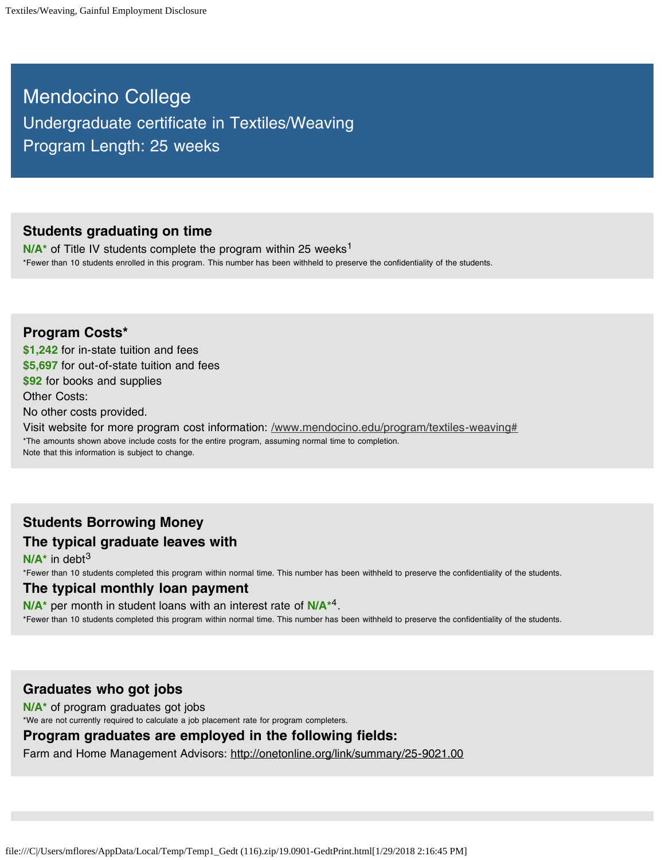Mendocino College Undergraduate certificate in Textiles/Weaving Program Length: 25 weeks

#### **Students graduating on time**

N/A<sup>\*</sup> of Title IV students complete the program within 25 weeks<sup>1</sup> \*Fewer than 10 students enrolled in this program. This number has been withheld to preserve the confidentiality of the students.

**Program Costs\* \$1,242** for in-state tuition and fees **\$5,697** for out-of-state tuition and fees **\$92** for books and supplies Other Costs: No other costs provided. Visit website for more program cost information: /www.mendocino.edu/program/textiles-weaving# \*The amounts shown above include costs for the entire program, assuming normal time to completion. Note that this information is subject to change.

# **Students Borrowing Money The typical graduate leaves with**

**N/A\*** in debt 3 \*Fewer than 10 students completed this program within normal time. This number has been withheld to preserve the confidentiality of the students.

#### **The typical monthly loan payment**

N/A<sup>\*</sup> per month in student loans with an interest rate of N/A<sup>\*4</sup>. \*Fewer than 10 students completed this program within normal time. This number has been withheld to preserve the confidentiality of the students.

### **Graduates who got jobs**

**N/A\*** of program graduates got jobs

\*We are not currently required to calculate a job placement rate for program completers.

### **Program graduates are employed in the following fields:**

Farm and Home Management Advisors: http://onetonline.org/link/summary/25-9021.00